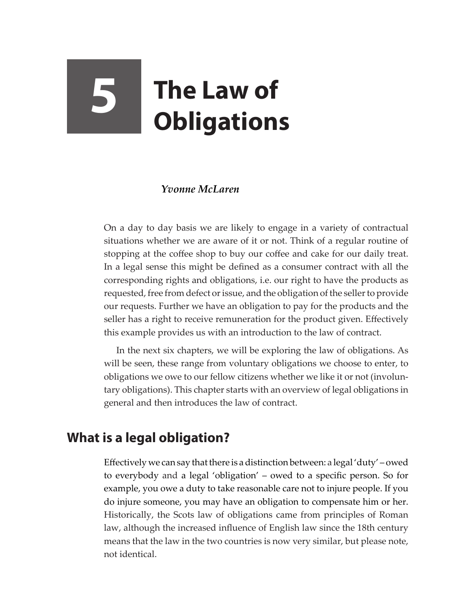# **5 The Law of Obligations**

### *Yvonne McLaren*

On a day to day basis we are likely to engage in a variety of contractual situations whether we are aware of it or not. Think of a regular routine of stopping at the coffee shop to buy our coffee and cake for our daily treat. In a legal sense this might be defined as a consumer contract with all the corresponding rights and obligations, i.e. our right to have the products as requested, free from defect or issue, and the obligation of the seller to provide our requests. Further we have an obligation to pay for the products and the seller has a right to receive remuneration for the product given. Effectively this example provides us with an introduction to the law of contract.

In the next six chapters, we will be exploring the law of obligations. As will be seen, these range from voluntary obligations we choose to enter, to obligations we owe to our fellow citizens whether we like it or not (involuntary obligations). This chapter starts with an overview of legal obligations in general and then introduces the law of contract.

# **What is a legal obligation?**

Effectively we can say that there is a distinction between: a legal 'duty' – owed to everybody and a legal 'obligation' – owed to a specific person. So for example, you owe a duty to take reasonable care not to injure people. If you do injure someone, you may have an obligation to compensate him or her. Historically, the Scots law of obligations came from principles of Roman law, although the increased influence of English law since the 18th century means that the law in the two countries is now very similar, but please note, not identical.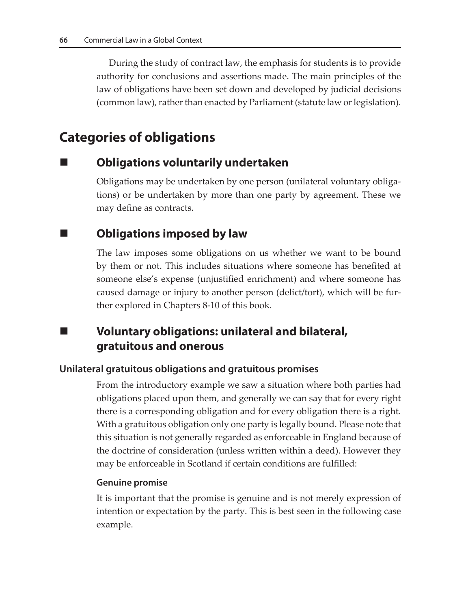During the study of contract law, the emphasis for students is to provide authority for conclusions and assertions made. The main principles of the law of obligations have been set down and developed by judicial decisions (common law), rather than enacted by Parliament (statute law or legislation).

# **Categories of obligations**

## **Obligations voluntarily undertaken**

Obligations may be undertaken by one person (unilateral voluntary obligations) or be undertaken by more than one party by agreement. These we may define as contracts.

## ■ **Obligations imposed by law**

The law imposes some obligations on us whether we want to be bound by them or not. This includes situations where someone has benefited at someone else's expense (unjustified enrichment) and where someone has caused damage or injury to another person (delict/tort), which will be further explored in Chapters 8-10 of this book.

## **Voluntary obligations: unilateral and bilateral, gratuitous and onerous**

#### **Unilateral gratuitous obligations and gratuitous promises**

From the introductory example we saw a situation where both parties had obligations placed upon them, and generally we can say that for every right there is a corresponding obligation and for every obligation there is a right. With a gratuitous obligation only one party is legally bound. Please note that this situation is not generally regarded as enforceable in England because of the doctrine of consideration (unless written within a deed). However they may be enforceable in Scotland if certain conditions are fulfilled:

#### **Genuine promise**

It is important that the promise is genuine and is not merely expression of intention or expectation by the party. This is best seen in the following case example.